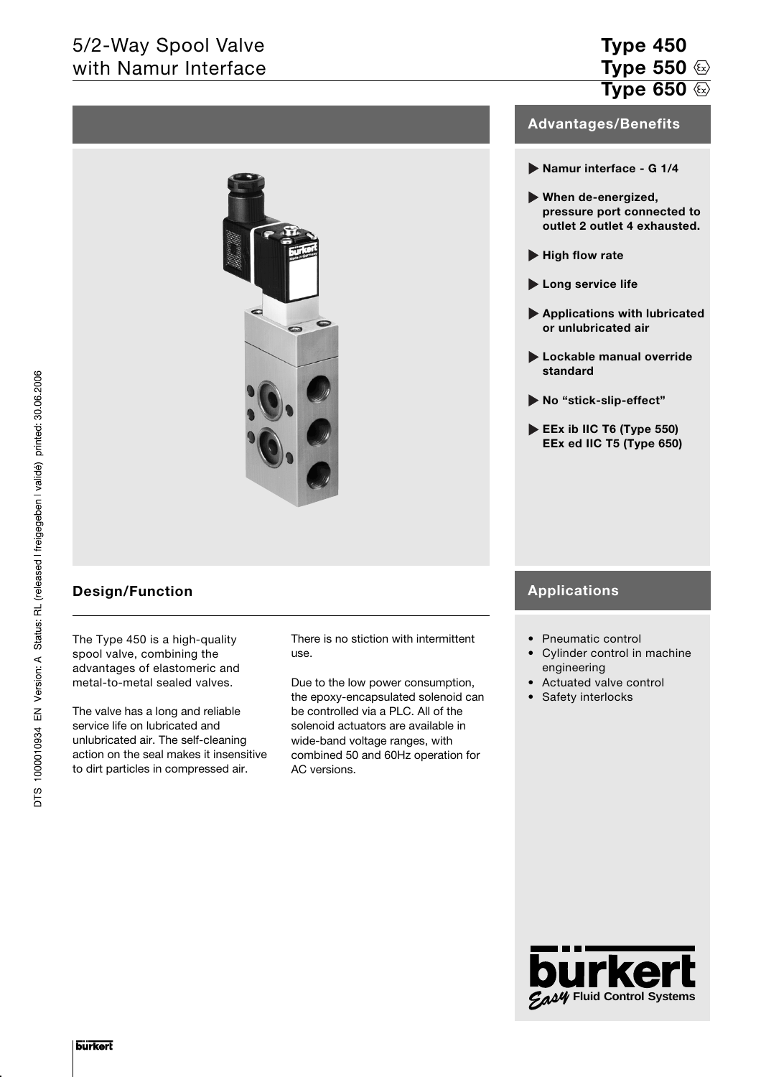# 5/2-Way Spool Valve with Namur Interface



## **Design/Function**

The Type 450 is a high-quality spool valve, combining the advantages of elastomeric and metal-to-metal sealed valves.

The valve has a long and reliable service life on lubricated and unlubricated air. The self-cleaning action on the seal makes it insensitive to dirt particles in compressed air.

There is no stiction with intermittent use.

Due to the low power consumption, the epoxy-encapsulated solenoid can be controlled via a PLC. All of the solenoid actuators are available in wide-band voltage ranges, with combined 50 and 60Hz operation for AC versions.

## **Type 450 Type 550 Type 650**

## **Advantages/Benefits**

- **Namur interface G 1/4**
- **When de-energized, pressure port connected to outlet 2 outlet 4 exhausted.**
- **High flow rate**
- **Long service life**
- **Applications with lubricated or unlubricated air**
- **Lockable manual override standard**
- **No "stick-slip-effect"**
- **EEx ib IIC T6 (Type 550) EEx ed IIC T5 (Type 650)**

## **Applications**

- Pneumatic control
- Cylinder control in machine engineering
- Actuated valve control
- Safety interlocks

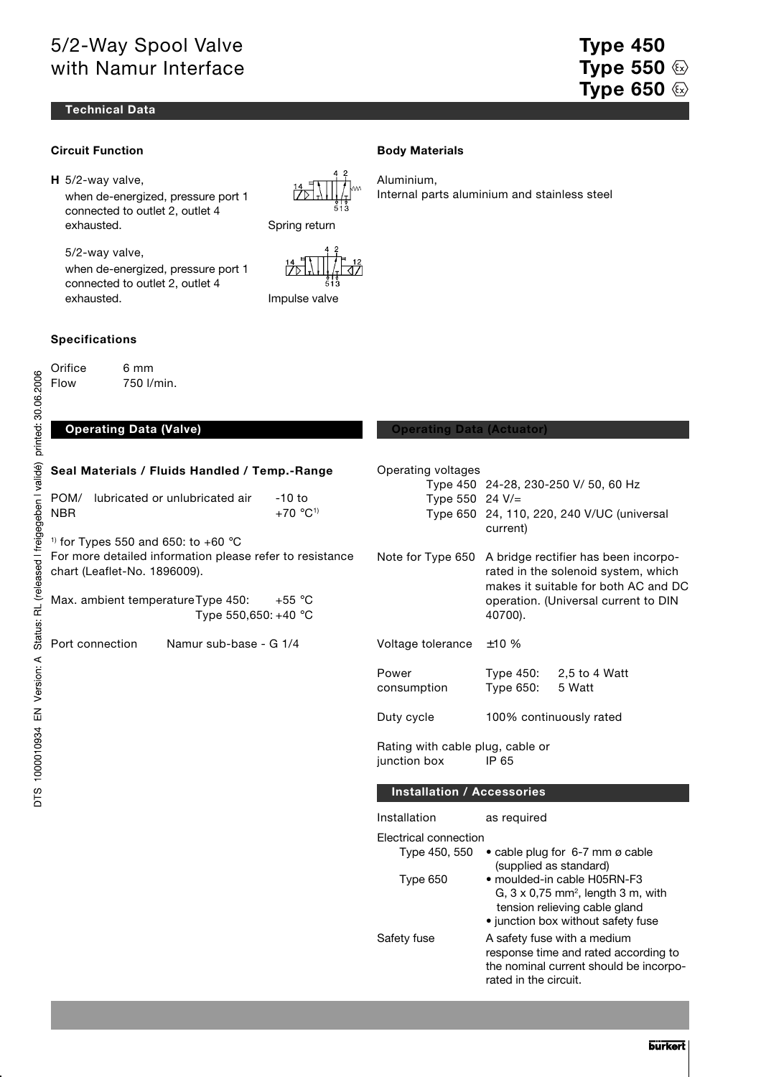# 5/2-Way Spool Valve with Namur Interface

### **Technical Data**

### **Circuit Function**

**H** 5/2-way valve,

when de-energized, pressure port 1 connected to outlet 2, outlet 4 exhausted. Spring return

5/2-way valve, when de-energized, pressure port 1 connected to outlet 2, outlet 4 exhausted. The settlement of the limpulse valve

## **Specifications**

Orifice 6 mm Flow 750 l/min.

|  |  | Seal Materials / Fluids Handled / Temp.-Range |
|--|--|-----------------------------------------------|
|  |  |                                               |

|      | POM/ lubricated or unlubricated air | -10 to    |
|------|-------------------------------------|-----------|
| NBR. |                                     | $+70 °C1$ |

 $1)$  for Types 550 and 650: to +60  $^{\circ}$ C For more detailed information please refer to resistance chart (Leaflet-No. 1896009).

Max. ambient temperatureType 450: +55 °C Type 550,650: +40 °C

Port connection Namur sub-base - G 1/4

### **Body Materials**

Aluminium, Internal parts aluminium and stainless steel

### **Operating Data (Valve) Construction Construction Construction Operating Data (Actuator)**

| Operating voltages<br>Type 450<br>Type 550 24 V/=<br>Type 650 | 24-28, 230-250 V/ 50, 60 Hz<br>24, 110, 220, 240 V/UC (universal<br>current)                                                                                           |  |  |  |  |  |
|---------------------------------------------------------------|------------------------------------------------------------------------------------------------------------------------------------------------------------------------|--|--|--|--|--|
| Note for Type 650                                             | A bridge rectifier has been incorpo-<br>rated in the solenoid system, which<br>makes it suitable for both AC and DC<br>operation. (Universal current to DIN<br>40700). |  |  |  |  |  |
| Voltage tolerance                                             | ±10%                                                                                                                                                                   |  |  |  |  |  |
| Power<br>consumption                                          | Type 450:<br>2,5 to 4 Watt<br>Type 650:<br>5 Watt                                                                                                                      |  |  |  |  |  |
| Duty cycle                                                    | 100% continuously rated                                                                                                                                                |  |  |  |  |  |
| Rating with cable plug, cable or<br>junction box              | IP 65                                                                                                                                                                  |  |  |  |  |  |
| <b>Installation / Accessories</b>                             |                                                                                                                                                                        |  |  |  |  |  |
| Installation                                                  | as required                                                                                                                                                            |  |  |  |  |  |
| Electrical connection<br>Type 450, 550<br>Type 650            | • cable plug for 6-7 mm ø cable<br>(supplied as standard)<br>· moulded-in cable H05RN-F3<br>G, $3 \times 0.75$ mm <sup>2</sup> , length $3$ m, with                    |  |  |  |  |  |
|                                                               | tension relieving cable gland<br>• junction box without safety fuse                                                                                                    |  |  |  |  |  |
| Safety fuse                                                   | A safety fuse with a medium<br>response time and rated according to                                                                                                    |  |  |  |  |  |

the nominal current should be incorpo-

rated in the circuit.

**Type 450 Type 550 Type 650**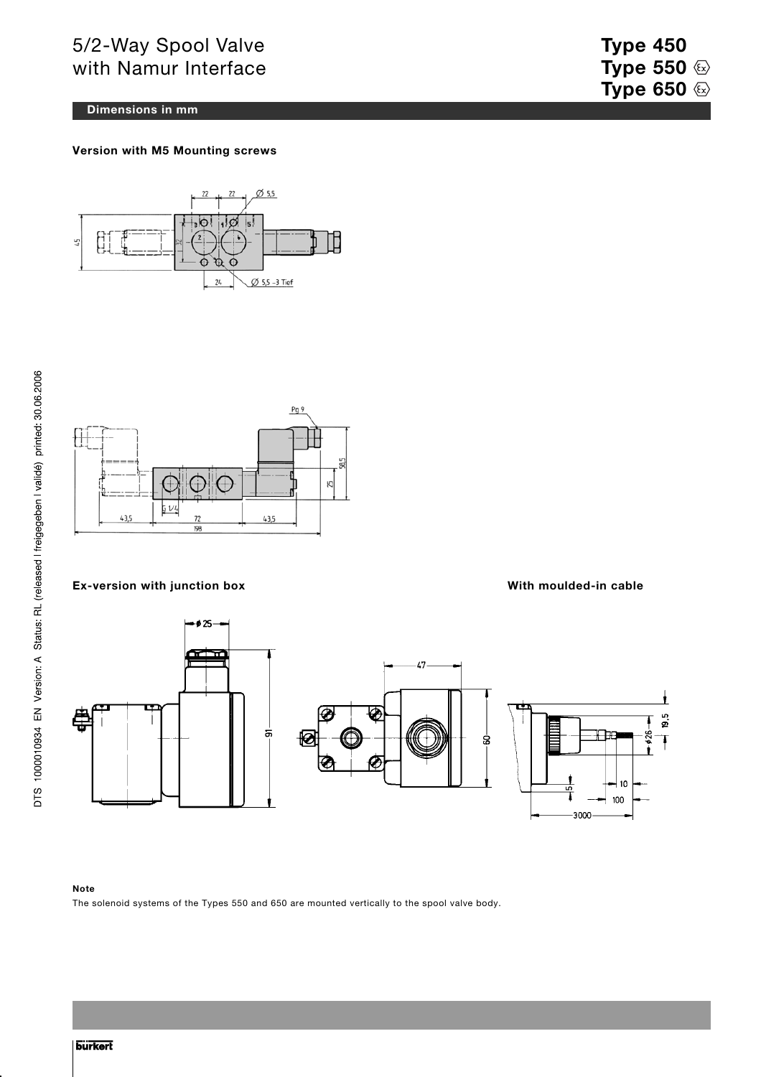# 5/2-Way Spool Valve with Namur Interface

### **Dimensions in mm**

**Version with M5 Mounting screws**





### **Ex-version with junction box With moulded-in cable**



### **Note**

The solenoid systems of the Types 550 and 650 are mounted vertically to the spool valve body.

**Type 450 Type 550**  $\circledcirc$ **Type 650**  $\circledcirc$